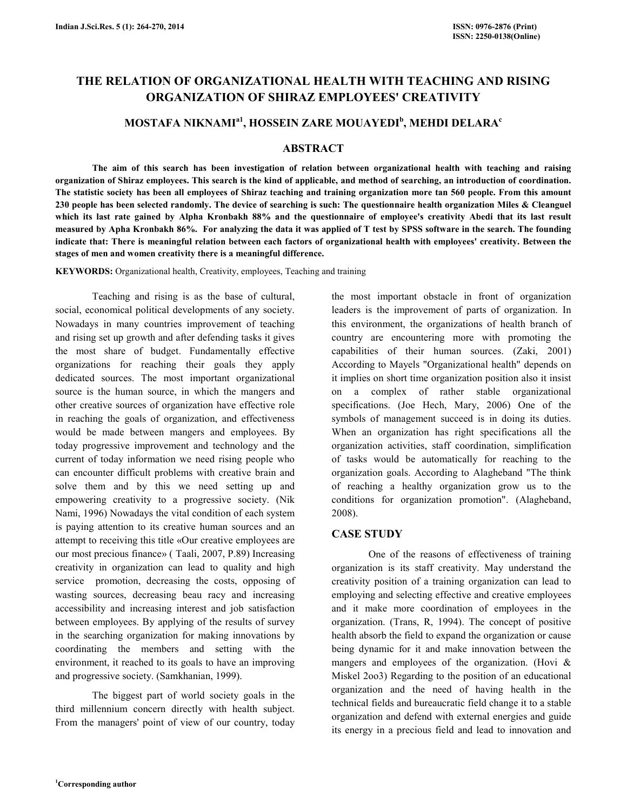# THE RELATION OF ORGANIZATIONAL HEALTH WITH TEACHING AND RISING ORGANIZATION OF SHIRAZ EMPLOYEES' CREATIVITY

# MOSTAFA NIKNAMI $^{\rm a1}$ , HOSSEIN ZARE MOUAYEDI $^{\rm b}$ , MEHDI DELARA $^{\rm c}$

## ABSTRACT

 The aim of this search has been investigation of relation between organizational health with teaching and raising organization of Shiraz employees. This search is the kind of applicable, and method of searching, an introduction of coordination. The statistic society has been all employees of Shiraz teaching and training organization more tan 560 people. From this amount 230 people has been selected randomly. The device of searching is such: The questionnaire health organization Miles & Cleanguel which its last rate gained by Alpha Kronbakh 88% and the questionnaire of employee's creativity Abedi that its last result measured by Apha Kronbakh 86%. For analyzing the data it was applied of T test by SPSS software in the search. The founding indicate that: There is meaningful relation between each factors of organizational health with employees' creativity. Between the stages of men and women creativity there is a meaningful difference.

KEYWORDS: Organizational health, Creativity, employees, Teaching and training

 Teaching and rising is as the base of cultural, social, economical political developments of any society. Nowadays in many countries improvement of teaching and rising set up growth and after defending tasks it gives the most share of budget. Fundamentally effective organizations for reaching their goals they apply dedicated sources. The most important organizational source is the human source, in which the mangers and other creative sources of organization have effective role in reaching the goals of organization, and effectiveness would be made between mangers and employees. By today progressive improvement and technology and the current of today information we need rising people who can encounter difficult problems with creative brain and solve them and by this we need setting up and empowering creativity to a progressive society. (Nik Nami, 1996) Nowadays the vital condition of each system is paying attention to its creative human sources and an attempt to receiving this title «Our creative employees are our most precious finance» ( Taali, 2007, P.89) Increasing creativity in organization can lead to quality and high service promotion, decreasing the costs, opposing of wasting sources, decreasing beau racy and increasing accessibility and increasing interest and job satisfaction between employees. By applying of the results of survey in the searching organization for making innovations by coordinating the members and setting with the environment, it reached to its goals to have an improving and progressive society. (Samkhanian, 1999).

 The biggest part of world society goals in the third millennium concern directly with health subject. From the managers' point of view of our country, today the most important obstacle in front of organization leaders is the improvement of parts of organization. In this environment, the organizations of health branch of country are encountering more with promoting the capabilities of their human sources. (Zaki, 2001) According to Mayels "Organizational health" depends on it implies on short time organization position also it insist on a complex of rather stable organizational specifications. (Joe Hech, Mary, 2006) One of the symbols of management succeed is in doing its duties. When an organization has right specifications all the organization activities, staff coordination, simplification of tasks would be automatically for reaching to the organization goals. According to Alagheband "The think of reaching a healthy organization grow us to the conditions for organization promotion". (Alagheband, 2008).

# CASE STUDY

 One of the reasons of effectiveness of training organization is its staff creativity. May understand the creativity position of a training organization can lead to employing and selecting effective and creative employees and it make more coordination of employees in the organization. (Trans, R, 1994). The concept of positive health absorb the field to expand the organization or cause being dynamic for it and make innovation between the mangers and employees of the organization. (Hovi & Miskel 2oo3) Regarding to the position of an educational organization and the need of having health in the technical fields and bureaucratic field change it to a stable organization and defend with external energies and guide its energy in a precious field and lead to innovation and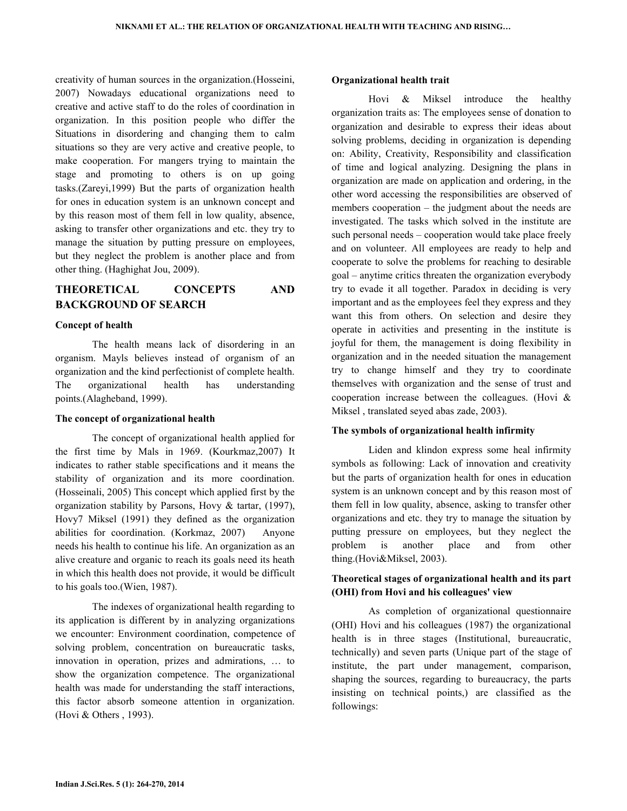creativity of human sources in the organization.(Hosseini, 2007) Nowadays educational organizations need to creative and active staff to do the roles of coordination in organization. In this position people who differ the Situations in disordering and changing them to calm situations so they are very active and creative people, to make cooperation. For mangers trying to maintain the stage and promoting to others is on up going tasks.(Zareyi,1999) But the parts of organization health for ones in education system is an unknown concept and by this reason most of them fell in low quality, absence, asking to transfer other organizations and etc. they try to manage the situation by putting pressure on employees, but they neglect the problem is another place and from other thing. (Haghighat Jou, 2009).

# THEORETICAL CONCEPTS AND BACKGROUND OF SEARCH

## Concept of health

 The health means lack of disordering in an organism. Mayls believes instead of organism of an organization and the kind perfectionist of complete health. The organizational health has understanding points.(Alagheband, 1999).

#### The concept of organizational health

 The concept of organizational health applied for the first time by Mals in 1969. (Kourkmaz,2007) It indicates to rather stable specifications and it means the stability of organization and its more coordination. (Hosseinali, 2005) This concept which applied first by the organization stability by Parsons, Hovy & tartar, (1997), Hovy7 Miksel (1991) they defined as the organization abilities for coordination. (Korkmaz, 2007) Anyone needs his health to continue his life. An organization as an alive creature and organic to reach its goals need its heath in which this health does not provide, it would be difficult to his goals too.(Wien, 1987).

 The indexes of organizational health regarding to its application is different by in analyzing organizations we encounter: Environment coordination, competence of solving problem, concentration on bureaucratic tasks, innovation in operation, prizes and admirations, … to show the organization competence. The organizational health was made for understanding the staff interactions, this factor absorb someone attention in organization. (Hovi & Others , 1993).

#### Organizational health trait

 Hovi & Miksel introduce the healthy organization traits as: The employees sense of donation to organization and desirable to express their ideas about solving problems, deciding in organization is depending on: Ability, Creativity, Responsibility and classification of time and logical analyzing. Designing the plans in organization are made on application and ordering, in the other word accessing the responsibilities are observed of members cooperation – the judgment about the needs are investigated. The tasks which solved in the institute are such personal needs – cooperation would take place freely and on volunteer. All employees are ready to help and cooperate to solve the problems for reaching to desirable goal – anytime critics threaten the organization everybody try to evade it all together. Paradox in deciding is very important and as the employees feel they express and they want this from others. On selection and desire they operate in activities and presenting in the institute is joyful for them, the management is doing flexibility in organization and in the needed situation the management try to change himself and they try to coordinate themselves with organization and the sense of trust and cooperation increase between the colleagues. (Hovi & Miksel , translated seyed abas zade, 2003).

#### The symbols of organizational health infirmity

 Liden and klindon express some heal infirmity symbols as following: Lack of innovation and creativity but the parts of organization health for ones in education system is an unknown concept and by this reason most of them fell in low quality, absence, asking to transfer other organizations and etc. they try to manage the situation by putting pressure on employees, but they neglect the problem is another place and from other thing.(Hovi&Miksel, 2003).

# Theoretical stages of organizational health and its part (OHI) from Hovi and his colleagues' view

 As completion of organizational questionnaire (OHI) Hovi and his colleagues (1987) the organizational health is in three stages (Institutional, bureaucratic, technically) and seven parts (Unique part of the stage of institute, the part under management, comparison, shaping the sources, regarding to bureaucracy, the parts insisting on technical points,) are classified as the followings: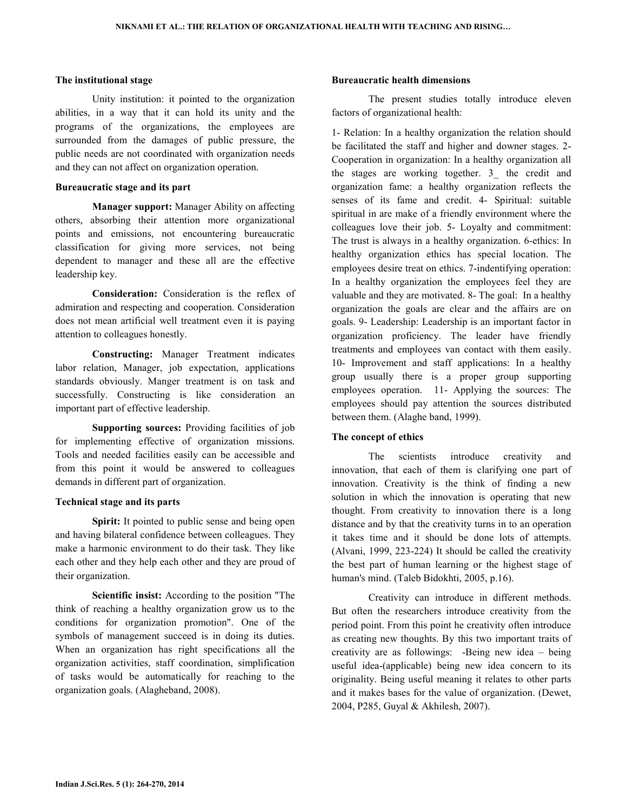#### The institutional stage

 Unity institution: it pointed to the organization abilities, in a way that it can hold its unity and the programs of the organizations, the employees are surrounded from the damages of public pressure, the public needs are not coordinated with organization needs and they can not affect on organization operation.

## Bureaucratic stage and its part

 Manager support: Manager Ability on affecting others, absorbing their attention more organizational points and emissions, not encountering bureaucratic classification for giving more services, not being dependent to manager and these all are the effective leadership key.

 Consideration: Consideration is the reflex of admiration and respecting and cooperation. Consideration does not mean artificial well treatment even it is paying attention to colleagues honestly.

 Constructing: Manager Treatment indicates labor relation, Manager, job expectation, applications standards obviously. Manger treatment is on task and successfully. Constructing is like consideration an important part of effective leadership.

 Supporting sources: Providing facilities of job for implementing effective of organization missions. Tools and needed facilities easily can be accessible and from this point it would be answered to colleagues demands in different part of organization.

#### Technical stage and its parts

Spirit: It pointed to public sense and being open and having bilateral confidence between colleagues. They make a harmonic environment to do their task. They like each other and they help each other and they are proud of their organization.

 Scientific insist: According to the position "The think of reaching a healthy organization grow us to the conditions for organization promotion". One of the symbols of management succeed is in doing its duties. When an organization has right specifications all the organization activities, staff coordination, simplification of tasks would be automatically for reaching to the organization goals. (Alagheband, 2008).

## Bureaucratic health dimensions

 The present studies totally introduce eleven factors of organizational health:

1- Relation: In a healthy organization the relation should be facilitated the staff and higher and downer stages. 2- Cooperation in organization: In a healthy organization all the stages are working together. 3\_ the credit and organization fame: a healthy organization reflects the senses of its fame and credit. 4- Spiritual: suitable spiritual in are make of a friendly environment where the colleagues love their job. 5- Loyalty and commitment: The trust is always in a healthy organization. 6-ethics: In healthy organization ethics has special location. The employees desire treat on ethics. 7-indentifying operation: In a healthy organization the employees feel they are valuable and they are motivated. 8- The goal: In a healthy organization the goals are clear and the affairs are on goals. 9- Leadership: Leadership is an important factor in organization proficiency. The leader have friendly treatments and employees van contact with them easily. 10- Improvement and staff applications: In a healthy group usually there is a proper group supporting employees operation. 11- Applying the sources: The employees should pay attention the sources distributed between them. (Alaghe band, 1999).

#### The concept of ethics

 The scientists introduce creativity and innovation, that each of them is clarifying one part of innovation. Creativity is the think of finding a new solution in which the innovation is operating that new thought. From creativity to innovation there is a long distance and by that the creativity turns in to an operation it takes time and it should be done lots of attempts. (Alvani, 1999, 223-224) It should be called the creativity the best part of human learning or the highest stage of human's mind. (Taleb Bidokhti, 2005, p.16).

 Creativity can introduce in different methods. But often the researchers introduce creativity from the period point. From this point he creativity often introduce as creating new thoughts. By this two important traits of creativity are as followings: -Being new idea – being useful idea-(applicable) being new idea concern to its originality. Being useful meaning it relates to other parts and it makes bases for the value of organization. (Dewet, 2004, P285, Guyal & Akhilesh, 2007).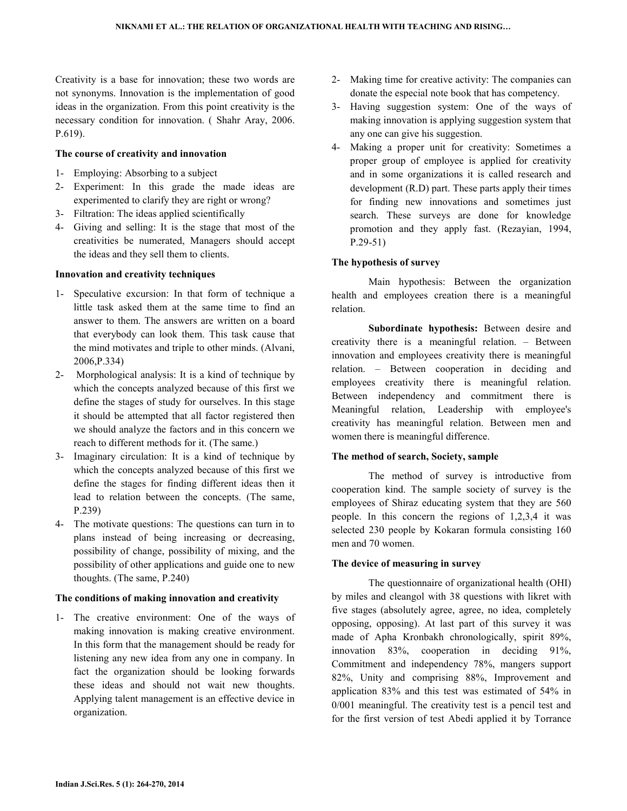Creativity is a base for innovation; these two words are not synonyms. Innovation is the implementation of good ideas in the organization. From this point creativity is the necessary condition for innovation. ( Shahr Aray, 2006. P.619).

## The course of creativity and innovation

- 1- Employing: Absorbing to a subject
- 2- Experiment: In this grade the made ideas are experimented to clarify they are right or wrong?
- 3- Filtration: The ideas applied scientifically
- 4- Giving and selling: It is the stage that most of the creativities be numerated, Managers should accept the ideas and they sell them to clients.

## Innovation and creativity techniques

- 1- Speculative excursion: In that form of technique a little task asked them at the same time to find an answer to them. The answers are written on a board that everybody can look them. This task cause that the mind motivates and triple to other minds. (Alvani, 2006,P.334)
- 2- Morphological analysis: It is a kind of technique by which the concepts analyzed because of this first we define the stages of study for ourselves. In this stage it should be attempted that all factor registered then we should analyze the factors and in this concern we reach to different methods for it. (The same.)
- 3- Imaginary circulation: It is a kind of technique by which the concepts analyzed because of this first we define the stages for finding different ideas then it lead to relation between the concepts. (The same, P.239)
- 4- The motivate questions: The questions can turn in to plans instead of being increasing or decreasing, possibility of change, possibility of mixing, and the possibility of other applications and guide one to new thoughts. (The same, P.240)

## The conditions of making innovation and creativity

1- The creative environment: One of the ways of making innovation is making creative environment. In this form that the management should be ready for listening any new idea from any one in company. In fact the organization should be looking forwards these ideas and should not wait new thoughts. Applying talent management is an effective device in organization.

- 2- Making time for creative activity: The companies can donate the especial note book that has competency.
- 3- Having suggestion system: One of the ways of making innovation is applying suggestion system that any one can give his suggestion.
- 4- Making a proper unit for creativity: Sometimes a proper group of employee is applied for creativity and in some organizations it is called research and development (R.D) part. These parts apply their times for finding new innovations and sometimes just search. These surveys are done for knowledge promotion and they apply fast. (Rezayian, 1994, P.29-51)

# The hypothesis of survey

 Main hypothesis: Between the organization health and employees creation there is a meaningful relation.

 Subordinate hypothesis: Between desire and creativity there is a meaningful relation. – Between innovation and employees creativity there is meaningful relation. – Between cooperation in deciding and employees creativity there is meaningful relation. Between independency and commitment there is Meaningful relation, Leadership with employee's creativity has meaningful relation. Between men and women there is meaningful difference.

# The method of search, Society, sample

 The method of survey is introductive from cooperation kind. The sample society of survey is the employees of Shiraz educating system that they are 560 people. In this concern the regions of 1,2,3,4 it was selected 230 people by Kokaran formula consisting 160 men and 70 women.

# The device of measuring in survey

 The questionnaire of organizational health (OHI) by miles and cleangol with 38 questions with likret with five stages (absolutely agree, agree, no idea, completely opposing, opposing). At last part of this survey it was made of Apha Kronbakh chronologically, spirit 89%, innovation 83%, cooperation in deciding 91%, Commitment and independency 78%, mangers support 82%, Unity and comprising 88%, Improvement and application 83% and this test was estimated of 54% in 0/001 meaningful. The creativity test is a pencil test and for the first version of test Abedi applied it by Torrance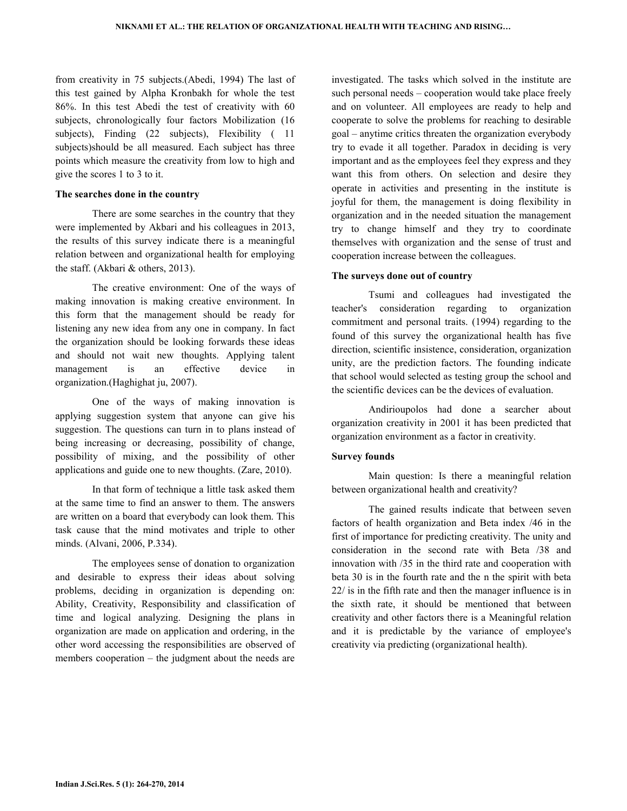from creativity in 75 subjects.(Abedi, 1994) The last of this test gained by Alpha Kronbakh for whole the test 86%. In this test Abedi the test of creativity with 60 subjects, chronologically four factors Mobilization (16 subjects), Finding (22 subjects), Flexibility (11) subjects)should be all measured. Each subject has three points which measure the creativity from low to high and give the scores 1 to 3 to it.

#### The searches done in the country

 There are some searches in the country that they were implemented by Akbari and his colleagues in 2013, the results of this survey indicate there is a meaningful relation between and organizational health for employing the staff. (Akbari & others, 2013).

 The creative environment: One of the ways of making innovation is making creative environment. In this form that the management should be ready for listening any new idea from any one in company. In fact the organization should be looking forwards these ideas and should not wait new thoughts. Applying talent management is an effective device in organization.(Haghighat ju, 2007).

 One of the ways of making innovation is applying suggestion system that anyone can give his suggestion. The questions can turn in to plans instead of being increasing or decreasing, possibility of change, possibility of mixing, and the possibility of other applications and guide one to new thoughts. (Zare, 2010).

 In that form of technique a little task asked them at the same time to find an answer to them. The answers are written on a board that everybody can look them. This task cause that the mind motivates and triple to other minds. (Alvani, 2006, P.334).

 The employees sense of donation to organization and desirable to express their ideas about solving problems, deciding in organization is depending on: Ability, Creativity, Responsibility and classification of time and logical analyzing. Designing the plans in organization are made on application and ordering, in the other word accessing the responsibilities are observed of members cooperation – the judgment about the needs are

investigated. The tasks which solved in the institute are such personal needs – cooperation would take place freely and on volunteer. All employees are ready to help and cooperate to solve the problems for reaching to desirable goal – anytime critics threaten the organization everybody try to evade it all together. Paradox in deciding is very important and as the employees feel they express and they want this from others. On selection and desire they operate in activities and presenting in the institute is joyful for them, the management is doing flexibility in organization and in the needed situation the management try to change himself and they try to coordinate themselves with organization and the sense of trust and cooperation increase between the colleagues.

## The surveys done out of country

 Tsumi and colleagues had investigated the teacher's consideration regarding to organization commitment and personal traits. (1994) regarding to the found of this survey the organizational health has five direction, scientific insistence, consideration, organization unity, are the prediction factors. The founding indicate that school would selected as testing group the school and the scientific devices can be the devices of evaluation.

 Andirioupolos had done a searcher about organization creativity in 2001 it has been predicted that organization environment as a factor in creativity.

## Survey founds

 Main question: Is there a meaningful relation between organizational health and creativity?

 The gained results indicate that between seven factors of health organization and Beta index /46 in the first of importance for predicting creativity. The unity and consideration in the second rate with Beta /38 and innovation with /35 in the third rate and cooperation with beta 30 is in the fourth rate and the n the spirit with beta 22/ is in the fifth rate and then the manager influence is in the sixth rate, it should be mentioned that between creativity and other factors there is a Meaningful relation and it is predictable by the variance of employee's creativity via predicting (organizational health).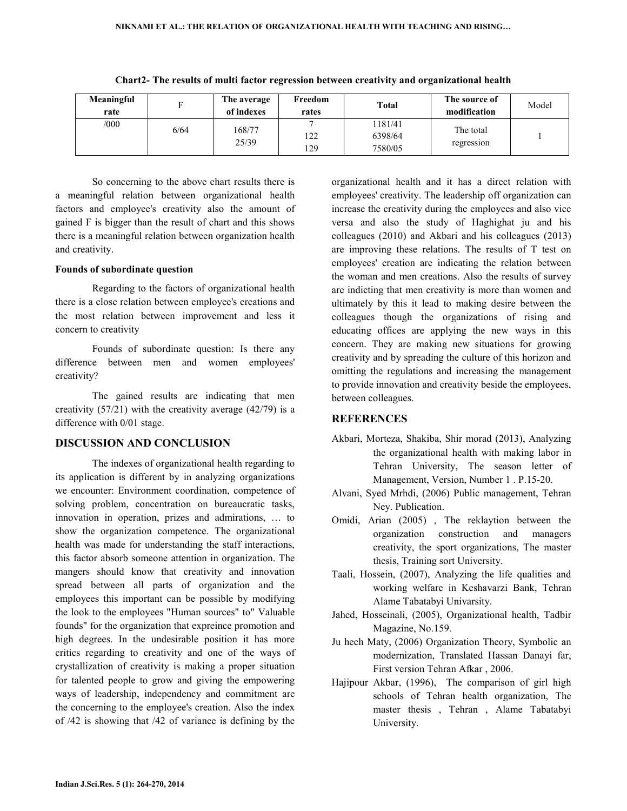| Meaningful<br>rate |      | The average<br>of indexes | Freedom<br>rates | <b>Total</b>                  | The source of<br>modification | Model |
|--------------------|------|---------------------------|------------------|-------------------------------|-------------------------------|-------|
| /000               | 6/64 | 168/77<br>25/39           | 122<br>129       | 1181/41<br>6398/64<br>7580/05 | The total<br>regression       |       |

Chart2- The results of multi factor regression between creativity and organizational health

 So concerning to the above chart results there is a meaningful relation between organizational health factors and employee's creativity also the amount of gained F is bigger than the result of chart and this shows there is a meaningful relation between organization health and creativity.

## Founds of subordinate question

 Regarding to the factors of organizational health there is a close relation between employee's creations and the most relation between improvement and less it concern to creativity

 Founds of subordinate question: Is there any difference between men and women employees' creativity?

 The gained results are indicating that men creativity (57/21) with the creativity average (42/79) is a difference with 0/01 stage.

## DISCUSSION AND CONCLUSION

The indexes of organizational health regarding to its application is different by in analyzing organizations we encounter: Environment coordination, competence of solving problem, concentration on bureaucratic tasks, innovation in operation, prizes and admirations, … to show the organization competence. The organizational health was made for understanding the staff interactions, this factor absorb someone attention in organization. The mangers should know that creativity and innovation spread between all parts of organization and the employees this important can be possible by modifying the look to the employees "Human sources" to" Valuable founds" for the organization that expreince promotion and high degrees. In the undesirable position it has more critics regarding to creativity and one of the ways of crystallization of creativity is making a proper situation for talented people to grow and giving the empowering ways of leadership, independency and commitment are the concerning to the employee's creation. Also the index of /42 is showing that /42 of variance is defining by the organizational health and it has a direct relation with employees' creativity. The leadership off organization can increase the creativity during the employees and also vice versa and also the study of Haghighat ju and his colleagues (2010) and Akbari and his colleagues (2013) are improving these relations. The results of T test on employees' creation are indicating the relation between the woman and men creations. Also the results of survey are indicting that men creativity is more than women and ultimately by this it lead to making desire between the colleagues though the organizations of rising and educating offices are applying the new ways in this concern. They are making new situations for growing creativity and by spreading the culture of this horizon and omitting the regulations and increasing the management to provide innovation and creativity beside the employees, between colleagues.

## **REFERENCES**

- Akbari, Morteza, Shakiba, Shir morad (2013), Analyzing the organizational health with making labor in Tehran University, The season letter of Management, Version, Number 1 . P.15-20.
- Alvani, Syed Mrhdi, (2006) Public management, Tehran Ney. Publication.
- Omidi, Arian (2005) , The reklaytion between the organization construction and managers creativity, the sport organizations, The master thesis, Training sort University.
- Taali, Hossein, (2007), Analyzing the life qualities and working welfare in Keshavarzi Bank, Tehran Alame Tabatabyi Univarsity.
- Jahed, Hosseinali, (2005), Organizational health, Tadbir Magazine, No.159.
- Ju hech Maty, (2006) Organization Theory, Symbolic an modernization, Translated Hassan Danayi far, First version Tehran Afkar , 2006.
- Hajipour Akbar, (1996), The comparison of girl high schools of Tehran health organization, The master thesis , Tehran , Alame Tabatabyi University.